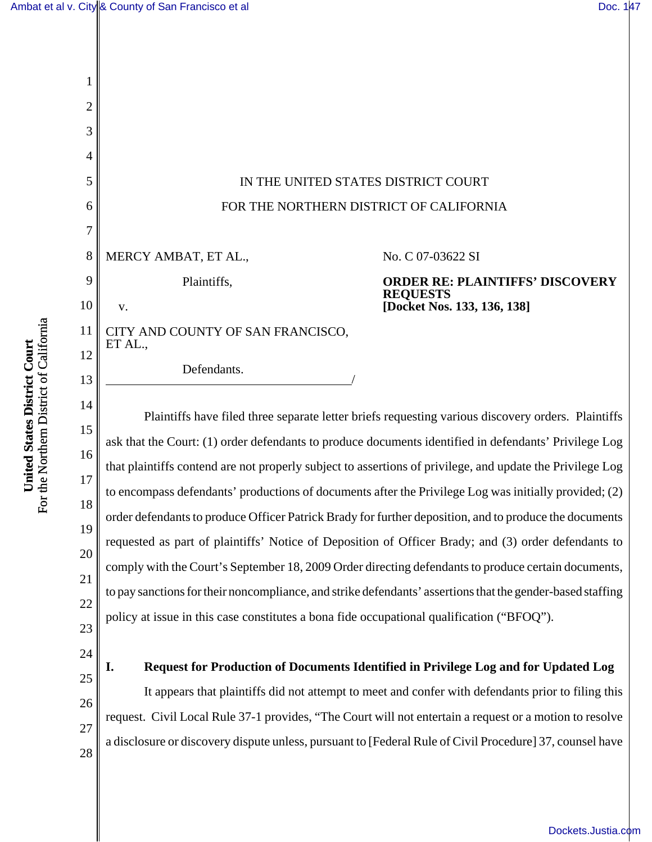[Dockets.Justia.com](http://dockets.justia.com/)



a disclosure or discovery dispute unless, pursuant to [Federal Rule of Civil Procedure] 37, counsel have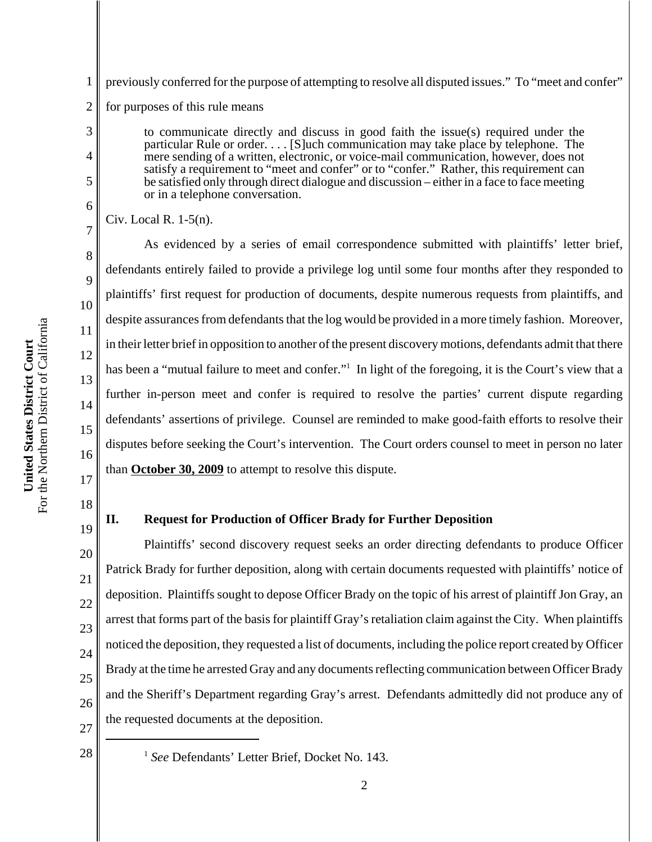1 2 previously conferred for the purpose of attempting to resolve all disputed issues." To "meet and confer" for purposes of this rule means

> to communicate directly and discuss in good faith the issue(s) required under the particular Rule or order. . . . [S]uch communication may take place by telephone. The mere sending of a written, electronic, or voice-mail communication, however, does not satisfy a requirement to "meet and confer" or to "confer." Rather, this requirement can be satisfied only through direct dialogue and discussion – either in a face to face meeting or in a telephone conversation.

Civ. Local R. 1-5(n).

3

4

5

6

7

8

9

10

11

12

13

14

15

16

17

18

19

21

As evidenced by a series of email correspondence submitted with plaintiffs' letter brief, defendants entirely failed to provide a privilege log until some four months after they responded to plaintiffs' first request for production of documents, despite numerous requests from plaintiffs, and despite assurances from defendants that the log would be provided in a more timely fashion. Moreover, in their letter brief in opposition to another of the present discovery motions, defendants admit that there has been a "mutual failure to meet and confer."<sup>1</sup> In light of the foregoing, it is the Court's view that a further in-person meet and confer is required to resolve the parties' current dispute regarding defendants' assertions of privilege. Counsel are reminded to make good-faith efforts to resolve their disputes before seeking the Court's intervention. The Court orders counsel to meet in person no later than **October 30, 2009** to attempt to resolve this dispute.

## **II. Request for Production of Officer Brady for Further Deposition**

20 22 23 24 26 Plaintiffs' second discovery request seeks an order directing defendants to produce Officer Patrick Brady for further deposition, along with certain documents requested with plaintiffs' notice of deposition. Plaintiffs sought to depose Officer Brady on the topic of his arrest of plaintiff Jon Gray, an arrest that forms part of the basis for plaintiff Gray's retaliation claim against the City. When plaintiffs noticed the deposition, they requested a list of documents, including the police report created by Officer Brady at the time he arrested Gray and any documents reflecting communication between Officer Brady and the Sheriff's Department regarding Gray's arrest. Defendants admittedly did not produce any of the requested documents at the deposition.

27

<sup>&</sup>lt;sup>28</sup> <sup>1</sup> *See* Defendants' Letter Brief, Docket No. 143.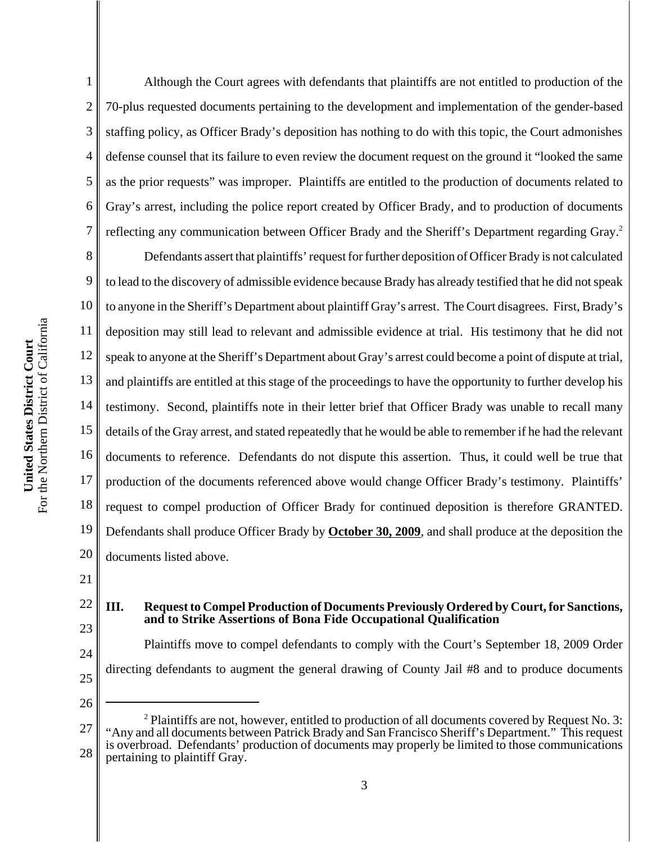4 6 Although the Court agrees with defendants that plaintiffs are not entitled to production of the 70-plus requested documents pertaining to the development and implementation of the gender-based staffing policy, as Officer Brady's deposition has nothing to do with this topic, the Court admonishes defense counsel that its failure to even review the document request on the ground it "looked the same as the prior requests" was improper. Plaintiffs are entitled to the production of documents related to Gray's arrest, including the police report created by Officer Brady, and to production of documents reflecting any communication between Officer Brady and the Sheriff's Department regarding Gray.<sup>2</sup>

8 9 10 11 12 13 14 15 16 17 18 19 20 Defendants assert that plaintiffs' request for further deposition of Officer Brady is not calculated to lead to the discovery of admissible evidence because Brady has already testified that he did not speak to anyone in the Sheriff's Department about plaintiff Gray's arrest. The Court disagrees. First, Brady's deposition may still lead to relevant and admissible evidence at trial. His testimony that he did not speak to anyone at the Sheriff's Department about Gray's arrest could become a point of dispute at trial, and plaintiffs are entitled at this stage of the proceedings to have the opportunity to further develop his testimony. Second, plaintiffs note in their letter brief that Officer Brady was unable to recall many details of the Gray arrest, and stated repeatedly that he would be able to remember if he had the relevant documents to reference. Defendants do not dispute this assertion. Thus, it could well be true that production of the documents referenced above would change Officer Brady's testimony. Plaintiffs' request to compel production of Officer Brady for continued deposition is therefore GRANTED. Defendants shall produce Officer Brady by **October 30, 2009**, and shall produce at the deposition the documents listed above.

21

1

2

3

5

7

## 22 23 **III. Request to Compel Production of Documents Previously Ordered by Court, for Sanctions, and to Strike Assertions of Bona Fide Occupational Qualification**

24 25 Plaintiffs move to compel defendants to comply with the Court's September 18, 2009 Order directing defendants to augment the general drawing of County Jail #8 and to produce documents

<sup>27</sup> 28  $2$  Plaintiffs are not, however, entitled to production of all documents covered by Request No. 3: "Any and all documents between Patrick Brady and San Francisco Sheriff's Department." This request is overbroad. Defendants' production of documents may properly be limited to those communications pertaining to plaintiff Gray.